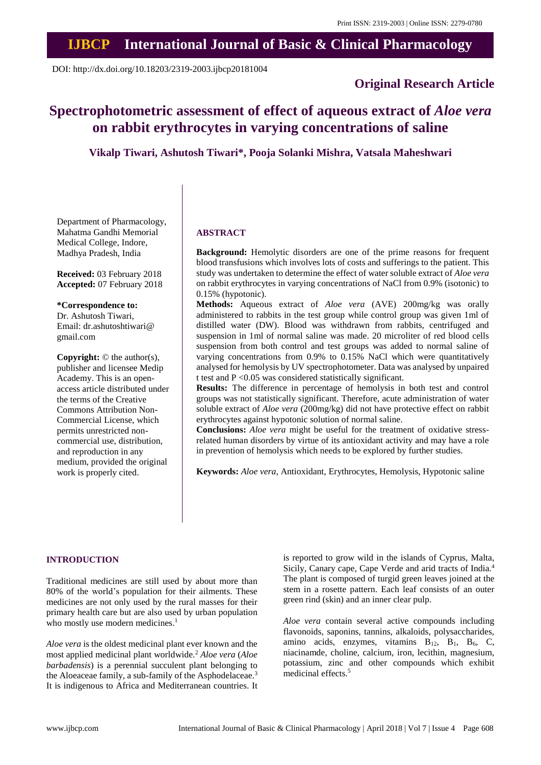## **IJBCP International Journal of Basic & Clinical Pharmacology**

DOI: http://dx.doi.org/10.18203/2319-2003.ijbcp20181004

### **Original Research Article**

# **Spectrophotometric assessment of effect of aqueous extract of** *Aloe vera* **on rabbit erythrocytes in varying concentrations of saline**

**Vikalp Tiwari, Ashutosh Tiwari\*, Pooja Solanki Mishra, Vatsala Maheshwari**

Department of Pharmacology, Mahatma Gandhi Memorial Medical College, Indore, Madhya Pradesh, India

**Received:** 03 February 2018 **Accepted:** 07 February 2018

**\*Correspondence to:** Dr. Ashutosh Tiwari, Email: dr.ashutoshtiwari@ gmail.com

**Copyright:** © the author(s), publisher and licensee Medip Academy. This is an openaccess article distributed under the terms of the Creative Commons Attribution Non-Commercial License, which permits unrestricted noncommercial use, distribution, and reproduction in any medium, provided the original work is properly cited.

#### **ABSTRACT**

**Background:** Hemolytic disorders are one of the prime reasons for frequent blood transfusions which involves lots of costs and sufferings to the patient. This study was undertaken to determine the effect of water soluble extract of *Aloe vera* on rabbit erythrocytes in varying concentrations of NaCl from 0.9% (isotonic) to 0.15% (hypotonic).

**Methods:** Aqueous extract of *Aloe vera* (AVE) 200mg/kg was orally administered to rabbits in the test group while control group was given 1ml of distilled water (DW). Blood was withdrawn from rabbits, centrifuged and suspension in 1ml of normal saline was made. 20 microliter of red blood cells suspension from both control and test groups was added to normal saline of varying concentrations from 0.9% to 0.15% NaCl which were quantitatively analysed for hemolysis by UV spectrophotometer. Data was analysed by unpaired t test and P <0.05 was considered statistically significant.

**Results:** The difference in percentage of hemolysis in both test and control groups was not statistically significant. Therefore, acute administration of water soluble extract of *Aloe vera* (200mg/kg) did not have protective effect on rabbit erythrocytes against hypotonic solution of normal saline.

**Conclusions:** *Aloe vera* might be useful for the treatment of oxidative stressrelated human disorders by virtue of its antioxidant activity and may have a role in prevention of hemolysis which needs to be explored by further studies.

**Keywords:** *Aloe vera*, Antioxidant, Erythrocytes, Hemolysis, Hypotonic saline

#### **INTRODUCTION**

Traditional medicines are still used by about more than 80% of the world's population for their ailments. These medicines are not only used by the rural masses for their primary health care but are also used by urban population who mostly use modern medicines.<sup>1</sup>

*Aloe vera* is the oldest medicinal plant ever known and the most applied medicinal plant worldwide.<sup>2</sup> *Aloe vera* (*Aloe barbadensis*) is a perennial succulent plant belonging to the Aloeaceae family, a sub-family of the Asphodelaceae.<sup>3</sup> It is indigenous to Africa and Mediterranean countries. It is reported to grow wild in the islands of Cyprus, Malta, Sicily, Canary cape, Cape Verde and arid tracts of India.<sup>4</sup> The plant is composed of turgid green leaves joined at the stem in a rosette pattern. Each leaf consists of an outer green rind (skin) and an inner clear pulp.

*Aloe vera* contain several active compounds including flavonoids, saponins, tannins, alkaloids, polysaccharides, amino acids, enzymes, vitamins  $B_{12}$ ,  $B_1$ ,  $B_6$ , C, niacinamde, choline, calcium, iron, lecithin, magnesium, potassium, zinc and other compounds which exhibit medicinal effects.<sup>5</sup>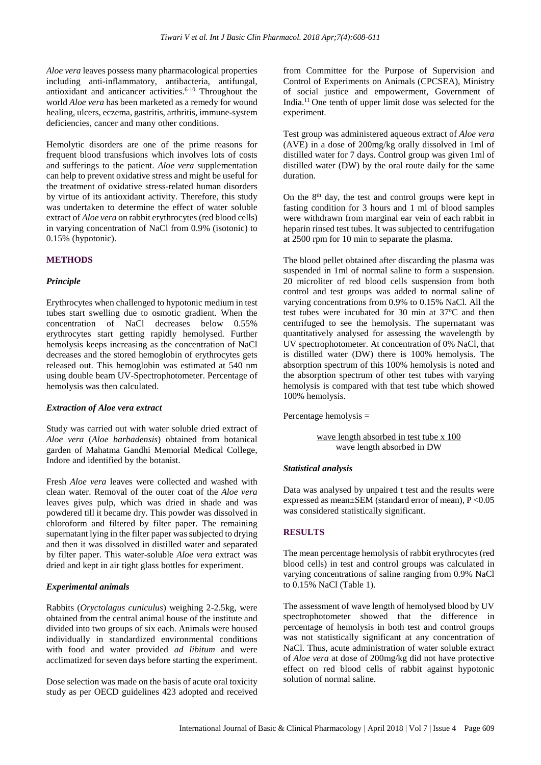*Aloe vera* leaves possess many pharmacological properties including anti-inflammatory, antibacteria, antifungal, antioxidant and anticancer activities.6-10 Throughout the world *Aloe vera* has been marketed as a remedy for wound healing, ulcers, eczema, gastritis, arthritis, immune-system deficiencies, cancer and many other conditions.

Hemolytic disorders are one of the prime reasons for frequent blood transfusions which involves lots of costs and sufferings to the patient. *Aloe vera* supplementation can help to prevent oxidative stress and might be useful for the treatment of oxidative stress-related human disorders by virtue of its antioxidant activity. Therefore, this study was undertaken to determine the effect of water soluble extract of *Aloe vera* on rabbit erythrocytes (red blood cells) in varying concentration of NaCl from 0.9% (isotonic) to 0.15% (hypotonic).

#### **METHODS**

#### *Principle*

Erythrocytes when challenged to hypotonic medium in test tubes start swelling due to osmotic gradient. When the concentration of NaCl decreases below 0.55% erythrocytes start getting rapidly hemolysed. Further hemolysis keeps increasing as the concentration of NaCl decreases and the stored hemoglobin of erythrocytes gets released out. This hemoglobin was estimated at 540 nm using double beam UV-Spectrophotometer. Percentage of hemolysis was then calculated.

#### *Extraction of Aloe vera extract*

Study was carried out with water soluble dried extract of *Aloe vera* (*Aloe barbadensis*) obtained from botanical garden of Mahatma Gandhi Memorial Medical College, Indore and identified by the botanist.

Fresh *Aloe vera* leaves were collected and washed with clean water. Removal of the outer coat of the *Aloe vera* leaves gives pulp, which was dried in shade and was powdered till it became dry. This powder was dissolved in chloroform and filtered by filter paper. The remaining supernatant lying in the filter paper was subjected to drying and then it was dissolved in distilled water and separated by filter paper. This water-soluble *Aloe vera* extract was dried and kept in air tight glass bottles for experiment.

#### *Experimental animals*

Rabbits (*Oryctolagus cuniculus*) weighing 2-2.5kg, were obtained from the central animal house of the institute and divided into two groups of six each. Animals were housed individually in standardized environmental conditions with food and water provided *ad libitum* and were acclimatized for seven days before starting the experiment.

Dose selection was made on the basis of acute oral toxicity study as per OECD guidelines 423 adopted and received from Committee for the Purpose of Supervision and Control of Experiments on Animals (CPCSEA), Ministry of social justice and empowerment, Government of India.<sup>11</sup> One tenth of upper limit dose was selected for the experiment.

Test group was administered aqueous extract of *Aloe vera* (AVE) in a dose of 200mg/kg orally dissolved in 1ml of distilled water for 7 days. Control group was given 1ml of distilled water (DW) by the oral route daily for the same duration.

On the 8<sup>th</sup> day, the test and control groups were kept in fasting condition for 3 hours and 1 ml of blood samples were withdrawn from marginal ear vein of each rabbit in heparin rinsed test tubes. It was subjected to centrifugation at 2500 rpm for 10 min to separate the plasma.

The blood pellet obtained after discarding the plasma was suspended in 1ml of normal saline to form a suspension. 20 microliter of red blood cells suspension from both control and test groups was added to normal saline of varying concentrations from 0.9% to 0.15% NaCl. All the test tubes were incubated for 30 min at 37ºC and then centrifuged to see the hemolysis. The supernatant was quantitatively analysed for assessing the wavelength by UV spectrophotometer. At concentration of 0% NaCl, that is distilled water (DW) there is 100% hemolysis. The absorption spectrum of this 100% hemolysis is noted and the absorption spectrum of other test tubes with varying hemolysis is compared with that test tube which showed 100% hemolysis.

Percentage hemolysis =

```
wave length absorbed in test tube x 100
wave length absorbed in DW
```
#### *Statistical analysis*

Data was analysed by unpaired t test and the results were expressed as mean±SEM (standard error of mean), P <0.05 was considered statistically significant.

#### **RESULTS**

The mean percentage hemolysis of rabbit erythrocytes (red blood cells) in test and control groups was calculated in varying concentrations of saline ranging from 0.9% NaCl to 0.15% NaCl (Table 1).

The assessment of wave length of hemolysed blood by UV spectrophotometer showed that the difference in percentage of hemolysis in both test and control groups was not statistically significant at any concentration of NaCl. Thus, acute administration of water soluble extract of *Aloe vera* at dose of 200mg/kg did not have protective effect on red blood cells of rabbit against hypotonic solution of normal saline.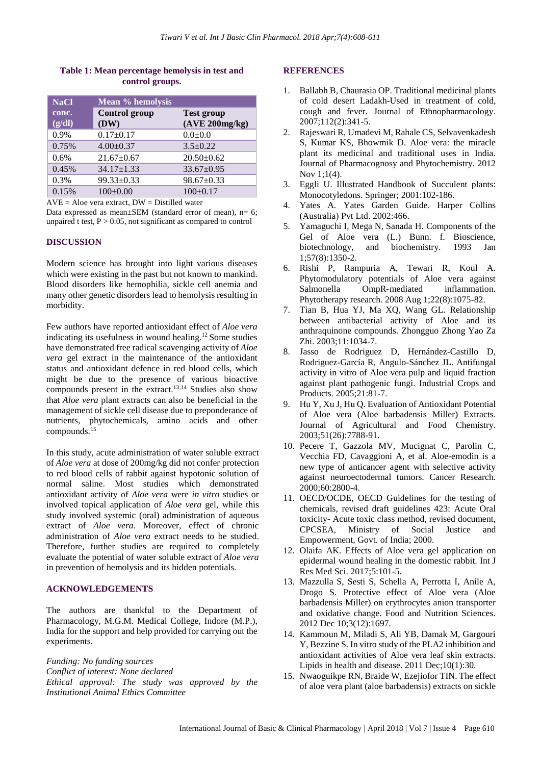#### **Table 1: Mean percentage hemolysis in test and control groups.**

| <b>NaCl</b>     | <b>Mean % hemolysis</b>      |                                     |
|-----------------|------------------------------|-------------------------------------|
| conc.<br>(g/dl) | <b>Control</b> group<br>(DW) | <b>Test group</b><br>(AVE 200mg/kg) |
| 0.9%            | $0.17+0.17$                  | $0.0+0.0$                           |
| 0.75%           | $4.00+0.37$                  | $3.5 + 0.22$                        |
| 0.6%            | $21.67 \pm 0.67$             | $20.50 \pm 0.62$                    |
| 0.45%           | $34.17 \pm 1.33$             | $33.67 \pm 0.95$                    |
| 0.3%            | $99.33 \pm 0.33$             | $98.67 \pm 0.33$                    |
| 0.15%           | $100 \pm 0.00$               | $100 \pm 0.17$                      |

 $AVE = Aloe$  vera extract,  $DW = Distilled$  water

Data expressed as mean $\pm$ SEM (standard error of mean), n= 6; unpaired t test,  $P > 0.05$ , not significant as compared to control

#### **DISCUSSION**

Modern science has brought into light various diseases which were existing in the past but not known to mankind. Blood disorders like hemophilia, sickle cell anemia and many other genetic disorders lead to hemolysis resulting in morbidity.

Few authors have reported antioxidant effect of *Aloe vera* indicating its usefulness in wound healing.<sup>12</sup> Some studies have demonstrated free radical scavenging activity of *Aloe vera* gel extract in the maintenance of the antioxidant status and antioxidant defence in red blood cells, which might be due to the presence of various bioactive compounds present in the extract.13,14 Studies also show that *Aloe vera* plant extracts can also be beneficial in the management of sickle cell disease due to preponderance of nutrients, phytochemicals, amino acids and other compounds.<sup>15</sup>

In this study, acute administration of water soluble extract of *Aloe vera* at dose of 200mg/kg did not confer protection to red blood cells of rabbit against hypotonic solution of normal saline. Most studies which demonstrated antioxidant activity of *Aloe vera* were *in vitro* studies or involved topical application of *Aloe vera* gel, while this study involved systemic (oral) administration of aqueous extract of *Aloe vera*. Moreover, effect of chronic administration of *Aloe vera* extract needs to be studied. Therefore, further studies are required to completely evaluate the potential of water soluble extract of *Aloe vera* in prevention of hemolysis and its hidden potentials.

#### **ACKNOWLEDGEMENTS**

The authors are thankful to the Department of Pharmacology, M.G.M. Medical College, Indore (M.P.), India for the support and help provided for carrying out the experiments.

*Funding: No funding sources Conflict of interest: None declared Ethical approval: The study was approved by the Institutional Animal Ethics Committee*

#### **REFERENCES**

- 1. Ballabh B, Chaurasia OP. Traditional medicinal plants of cold desert Ladakh-Used in treatment of cold, cough and fever. Journal of Ethnopharmacology. 2007;112(2):341-5.
- 2. Rajeswari R, Umadevi M, Rahale CS, Selvavenkadesh S, Kumar KS, Bhowmik D. Aloe vera: the miracle plant its medicinal and traditional uses in India. Journal of Pharmacognosy and Phytochemistry. 2012 Nov 1;1(4).
- 3. Eggli U. Illustrated Handbook of Succulent plants: Monocotyledons. Springer; 2001:102-186.
- 4. Yates A. Yates Garden Guide. Harper Collins (Australia) Pvt Ltd. 2002:466.
- 5. Yamaguchi I, Mega N, Sanada H. Components of the Gel of Aloe vera (L.) Bunn. f. Bioscience, biotechnology, and biochemistry. 1993 Jan 1;57(8):1350-2.
- 6. Rishi P, Rampuria A, Tewari R, Koul A. Phytomodulatory potentials of Aloe vera against Salmonella OmpR-mediated inflammation. Phytotherapy research. 2008 Aug 1;22(8):1075-82.
- 7. Tian B, Hua YJ, Ma XQ, Wang GL. Relationship between antibacterial activity of Aloe and its anthraquinone compounds. Zhongguo Zhong Yao Za Zhi. 2003;11:1034-7.
- 8. Jasso de Rodriguez D, Hernández-Castillo D, Rodriguez-García R, Angulo-Sánchez JL. Antifungal activity in vitro of Aloe vera pulp and liquid fraction against plant pathogenic fungi. Industrial Crops and Products. 2005;21:81-7.
- 9. Hu Y, Xu J, Hu Q. Evaluation of Antioxidant Potential of Aloe vera (Aloe barbadensis Miller) Extracts. Journal of Agricultural and Food Chemistry. 2003;51(26):7788-91.
- 10. Pecere T, Gazzola MV, Mucignat C, Parolin C, Vecchia FD, Cavaggioni A, et al. Aloe-emodin is a new type of anticancer agent with selective activity against neuroectodermal tumors. Cancer Research. 2000;60:2800-4.
- 11. OECD/OCDE, OECD Guidelines for the testing of chemicals, revised draft guidelines 423: Acute Oral toxicity- Acute toxic class method, revised document, CPCSEA, Ministry of Social Justice and Empowerment, Govt. of India; 2000.
- 12. Olaifa AK. Effects of Aloe vera gel application on epidermal wound healing in the domestic rabbit. Int J Res Med Sci. 2017;5:101-5.
- 13. Mazzulla S, Sesti S, Schella A, Perrotta I, Anile A, Drogo S. Protective effect of Aloe vera (Aloe barbadensis Miller) on erythrocytes anion transporter and oxidative change. Food and Nutrition Sciences. 2012 Dec 10;3(12):1697.
- 14. Kammoun M, Miladi S, Ali YB, Damak M, Gargouri Y, Bezzine S. In vitro study of the PLA2 inhibition and antioxidant activities of Aloe vera leaf skin extracts. Lipids in health and disease. 2011 Dec;10(1):30.
- 15. Nwaoguikpe RN, Braide W, Ezejiofor TIN. The effect of aloe vera plant (aloe barbadensis) extracts on sickle